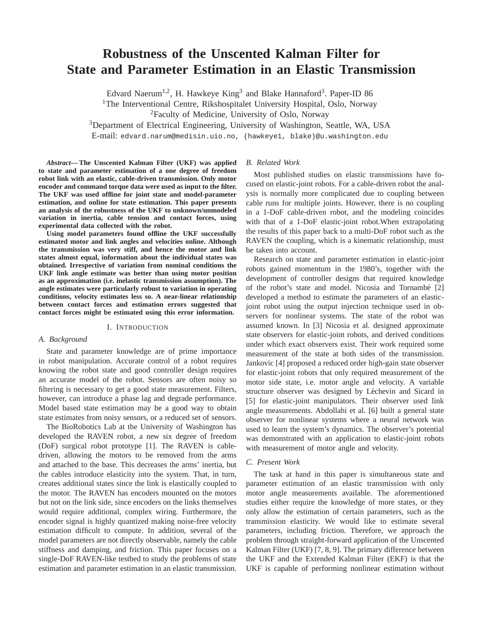# **Robustness of the Unscented Kalman Filter for State and Parameter Estimation in an Elastic Transmission**

Edvard Naerum<sup>1,2</sup>, H. Hawkeye King<sup>3</sup> and Blake Hannaford<sup>3</sup>. Paper-ID 86 <sup>1</sup>The Interventional Centre, Rikshospitalet University Hospital, Oslo, Norway

<sup>2</sup>Faculty of Medicine, University of Oslo, Norway

<sup>3</sup>Department of Electrical Engineering, University of Washington, Seattle, WA, USA

E-mail: edvard.narum@medisin.uio.no, (hawkeye1, blake)@u.washington.edu

*Abstract***— The Unscented Kalman Filter (UKF) was applied to state and parameter estimation of a one degree of freedom robot link with an elastic, cable-driven transmission. Only motor encoder and command torque data were used as input to the filter. The UKF was used offline for joint state and model-parameter estimation, and online for state estimation. This paper presents an analysis of the robustness of the UKF to unknown/unmodeled variation in inertia, cable tension and contact forces, using experimental data collected with the robot.**

**Using model parameters found offline the UKF successfully estimated motor and link angles and velocities online. Although the transmission was very stiff, and hence the motor and link states almost equal, information about the individual states was obtained. Irrespective of variation from nominal conditions the UKF link angle estimate was better than using motor position as an approximation (i.e. inelastic transmission assumption). The angle estimates were particularly robust to variation in operating conditions, velocity estimates less so. A near-linear relationship between contact forces and estimation errors suggested that contact forces might be estimated using this error information.**

#### I. INTRODUCTION

## *A. Background*

State and parameter knowledge are of prime importance in robot manipulation. Accurate control of a robot requires knowing the robot state and good controller design requires an accurate model of the robot. Sensors are often noisy so filtering is necessary to get a good state measurement. Filters, however, can introduce a phase lag and degrade performance. Model based state estimation may be a good way to obtain state estimates from noisy sensors, or a reduced set of sensors.

The BioRobotics Lab at the University of Washington has developed the RAVEN robot, a new six degree of freedom (DoF) surgical robot prototype [1]. The RAVEN is cabledriven, allowing the motors to be removed from the arms and attached to the base. This decreases the arms' inertia, but the cables introduce elasticity into the system. That, in turn, creates additional states since the link is elastically coupled to the motor. The RAVEN has encoders mounted on the motors but not on the link side, since encoders on the links themselves would require additional, complex wiring. Furthermore, the encoder signal is highly quantized making noise-free velocity estimation difficult to compute. In addition, several of the model parameters are not directly observable, namely the cable stiffness and damping, and friction. This paper focuses on a single-DoF RAVEN-like testbed to study the problems of state estimation and parameter estimation in an elastic transmission.

#### *B. Related Work*

Most published studies on elastic transmissions have focused on elastic-joint robots. For a cable-driven robot the analysis is normally more complicated due to coupling between cable runs for multiple joints. However, there is no coupling in a 1-DoF cable-driven robot, and the modeling coincides with that of a 1-DoF elastic-joint robot.When extrapolating the results of this paper back to a multi-DoF robot such as the RAVEN the coupling, which is a kinematic relationship, must be taken into account.

Research on state and parameter estimation in elastic-joint robots gained momentum in the 1980's, together with the development of controller designs that required knowledge of the robot's state and model. Nicosia and Tornambe [2] ´ developed a method to estimate the parameters of an elasticjoint robot using the output injection technique used in observers for nonlinear systems. The state of the robot was assumed known. In [3] Nicosia et al. designed approximate state observers for elastic-joint robots, and derived conditions under which exact observers exist. Their work required some measurement of the state at both sides of the transmission. Jankovic [4] proposed a reduced order high-gain state observer for elastic-joint robots that only required measurement of the motor side state, i.e. motor angle and velocity. A variable structure observer was designed by Léchevin and Sicard in [5] for elastic-joint manipulators. Their observer used link angle measurements. Abdollahi et al. [6] built a general state observer for nonlinear systems where a neural network was used to learn the system's dynamics. The observer's potential was demonstrated with an application to elastic-joint robots with measurement of motor angle and velocity.

## *C. Present Work*

The task at hand in this paper is simultaneous state and parameter estimation of an elastic transmission with only motor angle measurements available. The aforementioned studies either require the knowledge of more states, or they only allow the estimation of certain parameters, such as the transmission elasticity. We would like to estimate several parameters, including friction. Therefore, we approach the problem through straight-forward application of the Unscented Kalman Filter (UKF) [7, 8, 9]. The primary difference between the UKF and the Extended Kalman Filter (EKF) is that the UKF is capable of performing nonlinear estimation without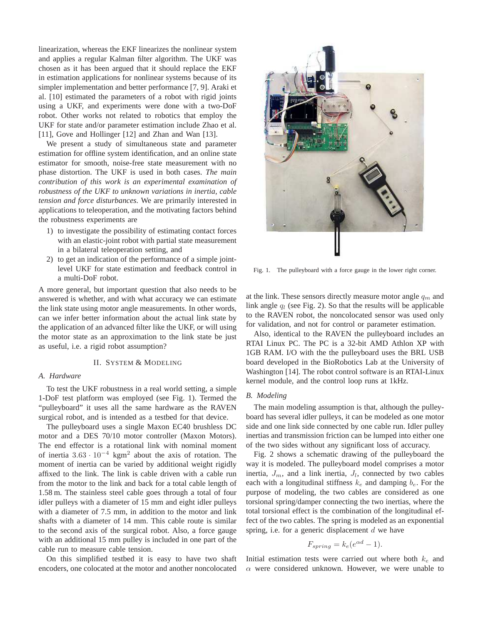linearization, whereas the EKF linearizes the nonlinear system and applies a regular Kalman filter algorithm. The UKF was chosen as it has been argued that it should replace the EKF in estimation applications for nonlinear systems because of its simpler implementation and better performance [7, 9]. Araki et al. [10] estimated the parameters of a robot with rigid joints using a UKF, and experiments were done with a two-DoF robot. Other works not related to robotics that employ the UKF for state and/or parameter estimation include Zhao et al. [11], Gove and Hollinger [12] and Zhan and Wan [13].

We present a study of simultaneous state and parameter estimation for offline system identification, and an online state estimator for smooth, noise-free state measurement with no phase distortion. The UKF is used in both cases. *The main contribution of this work is an experimental examination of robustness of the UKF to unknown variations in inertia, cable tension and force disturbances.* We are primarily interested in applications to teleoperation, and the motivating factors behind the robustness experiments are

- 1) to investigate the possibility of estimating contact forces with an elastic-joint robot with partial state measurement in a bilateral teleoperation setting, and
- 2) to get an indication of the performance of a simple jointlevel UKF for state estimation and feedback control in a multi-DoF robot.

A more general, but important question that also needs to be answered is whether, and with what accuracy we can estimate the link state using motor angle measurements. In other words, can we infer better information about the actual link state by the application of an advanced filter like the UKF, or will using the motor state as an approximation to the link state be just as useful, i.e. a rigid robot assumption?

## II. SYSTEM & MODELING

## *A. Hardware*

To test the UKF robustness in a real world setting, a simple 1-DoF test platform was employed (see Fig. 1). Termed the "pulleyboard" it uses all the same hardware as the RAVEN surgical robot, and is intended as a testbed for that device.

The pulleyboard uses a single Maxon EC40 brushless DC motor and a DES 70/10 motor controller (Maxon Motors). The end effector is a rotational link with nominal moment of inertia  $3.63 \cdot 10^{-4}$  kgm<sup>2</sup> about the axis of rotation. The moment of inertia can be varied by additional weight rigidly affixed to the link. The link is cable driven with a cable run from the motor to the link and back for a total cable length of 1.58 m. The stainless steel cable goes through a total of four idler pulleys with a diameter of 15 mm and eight idler pulleys with a diameter of 7.5 mm, in addition to the motor and link shafts with a diameter of 14 mm. This cable route is similar to the second axis of the surgical robot. Also, a force gauge with an additional 15 mm pulley is included in one part of the cable run to measure cable tension.

On this simplified testbed it is easy to have two shaft encoders, one colocated at the motor and another noncolocated



Fig. 1. The pulleyboard with a force gauge in the lower right corner.

at the link. These sensors directly measure motor angle  $q_m$  and link angle  $q_l$  (see Fig. 2). So that the results will be applicable to the RAVEN robot, the noncolocated sensor was used only for validation, and not for control or parameter estimation.

Also, identical to the RAVEN the pulleyboard includes an RTAI Linux PC. The PC is a 32-bit AMD Athlon XP with 1GB RAM. I/O with the the pulleyboard uses the BRL USB board developed in the BioRobotics Lab at the University of Washington [14]. The robot control software is an RTAI-Linux kernel module, and the control loop runs at 1kHz.

#### *B. Modeling*

The main modeling assumption is that, although the pulleyboard has several idler pulleys, it can be modeled as one motor side and one link side connected by one cable run. Idler pulley inertias and transmission friction can be lumped into either one of the two sides without any significant loss of accuracy.

Fig. 2 shows a schematic drawing of the pulleyboard the way it is modeled. The pulleyboard model comprises a motor inertia,  $J_m$ , and a link inertia,  $J_l$ , connected by two cables each with a longitudinal stiffness  $k_e$  and damping  $b_e$ . For the purpose of modeling, the two cables are considered as one torsional spring/damper connecting the two inertias, where the total torsional effect is the combination of the longitudinal effect of the two cables. The spring is modeled as an exponential spring, i.e. for a generic displacement  $d$  we have

$$
F_{spring} = k_e(e^{\alpha d} - 1).
$$

Initial estimation tests were carried out where both  $k_e$  and  $\alpha$  were considered unknown. However, we were unable to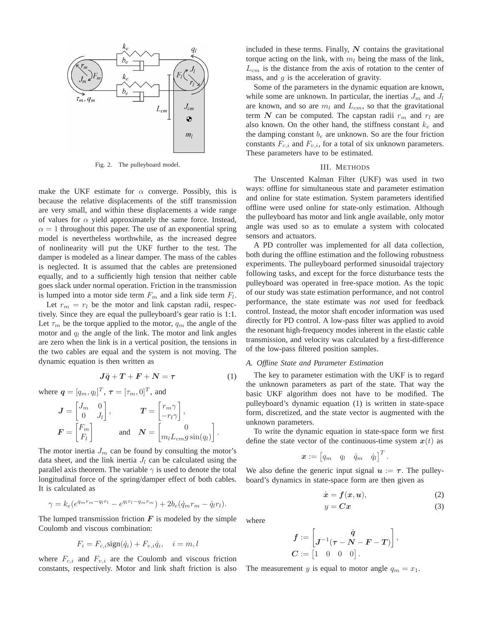

Fig. 2. The pulleyboard model.

make the UKF estimate for  $\alpha$  converge. Possibly, this is because the relative displacements of the stiff transmission are very small, and within these displacements a wide range of values for  $\alpha$  yield approximately the same force. Instead,  $\alpha = 1$  throughout this paper. The use of an exponential spring model is nevertheless worthwhile, as the increased degree of nonlinearity will put the UKF further to the test. The damper is modeled as a linear damper. The mass of the cables is neglected. It is assumed that the cables are pretensioned equally, and to a sufficiently high tension that neither cable goes slack under normal operation. Friction in the transmission is lumped into a motor side term  $F_m$  and a link side term  $F_l$ .

Let  $r_m = r_l$  be the motor and link capstan radii, respectively. Since they are equal the pulleyboard's gear ratio is 1:1. Let  $\tau_m$  be the torque applied to the motor,  $q_m$  the angle of the motor and  $q_l$  the angle of the link. The motor and link angles are zero when the link is in a vertical position, the tensions in the two cables are equal and the system is not moving. The dynamic equation is then written as

$$
J\ddot{q} + T + F + N = \tau \tag{1}
$$

where  $\boldsymbol{q} = [q_m, q_l]^T$ ,  $\boldsymbol{\tau} = [\tau_m, 0]^T$ , and

$$
\mathbf{J} = \begin{bmatrix} J_m & 0 \\ 0 & J_l \end{bmatrix}, \qquad \mathbf{T} = \begin{bmatrix} r_m \gamma \\ -r_l \gamma \end{bmatrix},
$$

$$
\mathbf{F} = \begin{bmatrix} F_m \\ F_l \end{bmatrix} \qquad \text{and} \quad \mathbf{N} = \begin{bmatrix} 0 \\ m_l L_{cm} g \sin(q_l) \end{bmatrix}.
$$

The motor inertia  $J_m$  can be found by consulting the motor's data sheet, and the link inertia  $J_l$  can be calculated using the parallel axis theorem. The variable  $\gamma$  is used to denote the total longitudinal force of the spring/damper effect of both cables. It is calculated as

$$
\gamma = k_e(e^{q_m r_m - q_l r_l} - e^{q_l r_l - q_m r_m}) + 2b_e(\dot{q}_m r_m - \dot{q}_l r_l).
$$

The lumped transmission friction  $\bf{F}$  is modeled by the simple Coulomb and viscous combination:

$$
F_i = F_{c,i} sign(\dot{q}_i) + F_{v,i}\dot{q}_i, \quad i = m, l
$$

where  $F_{c,i}$  and  $F_{v,i}$  are the Coulomb and viscous friction constants, respectively. Motor and link shaft friction is also included in these terms. Finally,  $N$  contains the gravitational torque acting on the link, with  $m_l$  being the mass of the link,  $L_{cm}$  is the distance from the axis of rotation to the center of mass, and  $g$  is the acceleration of gravity.

Some of the parameters in the dynamic equation are known, while some are unknown. In particular, the inertias  $J_m$  and  $J_l$ are known, and so are  $m_l$  and  $L_{cm}$ , so that the gravitational term N can be computed. The capstan radii  $r_m$  and  $r_l$  are also known. On the other hand, the stiffness constant  $k_e$  and the damping constant  $b_e$  are unknown. So are the four friction constants  $F_{c,i}$  and  $F_{v,i}$ , for a total of six unknown parameters. These parameters have to be estimated.

### III. METHODS

The Unscented Kalman Filter (UKF) was used in two ways: offline for simultaneous state and parameter estimation and online for state estimation. System parameters identified offline were used online for state-only estimation. Although the pulleyboard has motor and link angle available, only motor angle was used so as to emulate a system with colocated sensors and actuators.

A PD controller was implemented for all data collection, both during the offline estimation and the following robustness experiments. The pulleyboard performed sinusoidal trajectory following tasks, and except for the force disturbance tests the pulleyboard was operated in free-space motion. As the topic of our study was state estimation performance, and not control performance, the state estimate was *not* used for feedback control. Instead, the motor shaft encoder information was used directly for PD control. A low-pass filter was applied to avoid the resonant high-frequency modes inherent in the elastic cable transmission, and velocity was calculated by a first-difference of the low-pass filtered position samples.

## *A. Offline State and Parameter Estimation*

The key to parameter estimation with the UKF is to regard the unknown parameters as part of the state. That way the basic UKF algorithm does not have to be modified. The pulleyboard's dynamic equation (1) is written in state-space form, discretized, and the state vector is augmented with the unknown parameters.

To write the dynamic equation in state-space form we first define the state vector of the continuous-time system  $x(t)$  as

$$
\boldsymbol{x} := \begin{bmatrix} q_m & q_l & \dot{q}_m & \dot{q}_l \end{bmatrix}^T.
$$

We also define the generic input signal  $u := \tau$ . The pulleyboard's dynamics in state-space form are then given as

$$
\dot{x} = f(x, u), \tag{2}
$$

$$
y = Cx \tag{3}
$$

where

$$
\begin{aligned} \boldsymbol{f} &\coloneqq \begin{bmatrix} \boldsymbol{\dot{q}} \\ \boldsymbol{J}^{-1}(\boldsymbol{\tau}-\boldsymbol{N}-\boldsymbol{F}-\boldsymbol{T}) \end{bmatrix}, \\ \boldsymbol{C} &\coloneqq \begin{bmatrix} 1 & 0 & 0 & 0 \end{bmatrix}. \end{aligned}
$$

The measurement y is equal to motor angle  $q_m = x_1$ .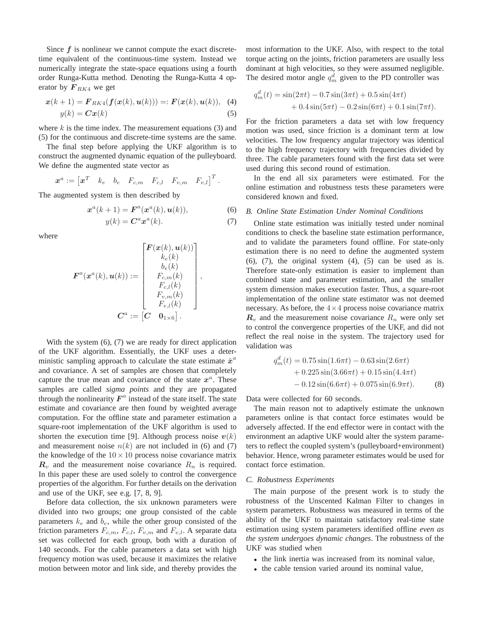Since  $f$  is nonlinear we cannot compute the exact discretetime equivalent of the continuous-time system. Instead we numerically integrate the state-space equations using a fourth order Runga-Kutta method. Denoting the Runga-Kutta 4 operator by  $\mathbf{F}_{RK4}$  we get

$$
x(k+1) = F_{RK4}(f(x(k), u(k))) =: F(x(k), u(k)), \quad (4)
$$

$$
y(k) = \mathbf{C}\mathbf{x}(k) \tag{5}
$$

where  $k$  is the time index. The measurement equations (3) and (5) for the continuous and discrete-time systems are the same.

The final step before applying the UKF algorithm is to construct the augmented dynamic equation of the pulleyboard. We define the augmented state vector as

$$
\boldsymbol{x}^a := \begin{bmatrix} \boldsymbol{x}^T & k_e & b_e & F_{c,m} & F_{c,l} & F_{v,m} & F_{v,l} \end{bmatrix}^T.
$$

The augmented system is then described by

$$
\boldsymbol{x}^{a}(k+1) = \boldsymbol{F}^{a}(\boldsymbol{x}^{a}(k), \boldsymbol{u}(k)),
$$
\n
$$
y(k) = \boldsymbol{C}^{a}\boldsymbol{x}^{a}(k).
$$
\n(6)

where

$$
\boldsymbol{F}^a(\boldsymbol{x}^a(k),\boldsymbol{u}(k)) := \begin{bmatrix} \boldsymbol{F}(\boldsymbol{x}(k),\boldsymbol{u}(k)) \\ k_e(k) \\ b_e(k) \\ F_{c,m}(k) \\ F_{c,l}(k) \\ F_{v,m}(k) \\ F_{v,l}(k) \\ F_{v,l}(k) \end{bmatrix},
$$

$$
\boldsymbol{C}^a := \begin{bmatrix} \boldsymbol{C} & \boldsymbol{0}_{1\times 6} \end{bmatrix}.
$$

With the system  $(6)$ ,  $(7)$  we are ready for direct application of the UKF algorithm. Essentially, the UKF uses a deterministic sampling approach to calculate the state estimate  $\hat{x}^a$ and covariance. A set of samples are chosen that completely capture the true mean and covariance of the state  $x^a$ . These samples are called *sigma points* and they are propagated through the nonlinearity  $F^a$  instead of the state itself. The state estimate and covariance are then found by weighted average computation. For the offline state and parameter estimation a square-root implementation of the UKF algorithm is used to shorten the execution time [9]. Although process noise  $v(k)$ and measurement noise  $n(k)$  are not included in (6) and (7) the knowledge of the  $10 \times 10$  process noise covariance matrix  $R_v$  and the measurement noise covariance  $R_n$  is required. In this paper these are used solely to control the convergence properties of the algorithm. For further details on the derivation and use of the UKF, see e.g. [7, 8, 9].

Before data collection, the six unknown parameters were divided into two groups; one group consisted of the cable parameters  $k_e$  and  $b_e$ , while the other group consisted of the friction parameters  $F_{c,m}$ ,  $F_{c,l}$ ,  $F_{v,m}$  and  $F_{v,l}$ . A separate data set was collected for each group, both with a duration of 140 seconds. For the cable parameters a data set with high frequency motion was used, because it maximizes the relative motion between motor and link side, and thereby provides the most information to the UKF. Also, with respect to the total torque acting on the joints, friction parameters are usually less dominant at high velocities, so they were assumed negligible. The desired motor angle  $q_m^d$  given to the PD controller was

$$
q_m^d(t) = \sin(2\pi t) - 0.7\sin(3\pi t) + 0.5\sin(4\pi t) + 0.4\sin(5\pi t) - 0.2\sin(6\pi t) + 0.1\sin(7\pi t).
$$

For the friction parameters a data set with low frequency motion was used, since friction is a dominant term at low velocities. The low frequency angular trajectory was identical to the high frequency trajectory with frequencies divided by three. The cable parameters found with the first data set were used during this second round of estimation.

In the end all six parameters were estimated. For the online estimation and robustness tests these parameters were considered known and fixed.

## *B. Online State Estimation Under Nominal Conditions*

Online state estimation was initially tested under nominal conditions to check the baseline state estimation performance, and to validate the parameters found offline. For state-only estimation there is no need to define the augmented system  $(6)$ ,  $(7)$ , the original system  $(4)$ ,  $(5)$  can be used as is. Therefore state-only estimation is easier to implement than combined state and parameter estimation, and the smaller system dimension makes execution faster. Thus, a square-root implementation of the online state estimator was not deemed necessary. As before, the  $4 \times 4$  process noise covariance matrix  $\mathbf{R}_v$  and the measurement noise covariance  $R_n$  were only set to control the convergence properties of the UKF, and did not reflect the real noise in the system. The trajectory used for validation was

$$
q_m^d(t) = 0.75 \sin(1.6\pi t) - 0.63 \sin(2.6\pi t) + 0.225 \sin(3.66\pi t) + 0.15 \sin(4.4\pi t) - 0.12 \sin(6.6\pi t) + 0.075 \sin(6.9\pi t).
$$
 (8)

Data were collected for 60 seconds.

The main reason not to adaptively estimate the unknown parameters online is that contact force estimates would be adversely affected. If the end effector were in contact with the environment an adaptive UKF would alter the system parameters to reflect the coupled system's (pulleyboard+environment) behavior. Hence, wrong parameter estimates would be used for contact force estimation.

#### *C. Robustness Experiments*

The main purpose of the present work is to study the robustness of the Unscented Kalman Filter to changes in system parameters. Robustness was measured in terms of the ability of the UKF to maintain satisfactory real-time state estimation using system parameters identified offline *even as the system undergoes dynamic changes*. The robustness of the UKF was studied when

- the link inertia was increased from its nominal value,
- the cable tension varied around its nominal value,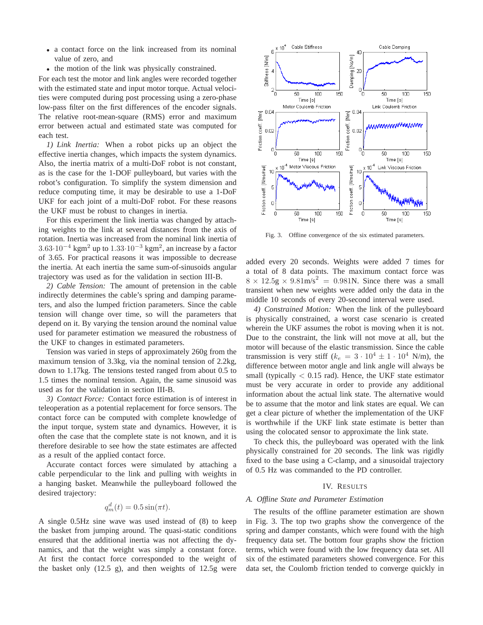- a contact force on the link increased from its nominal value of zero, and
- the motion of the link was physically constrained.

For each test the motor and link angles were recorded together with the estimated state and input motor torque. Actual velocities were computed during post processing using a zero-phase low-pass filter on the first differences of the encoder signals. The relative root-mean-square (RMS) error and maximum error between actual and estimated state was computed for each test.

*1) Link Inertia:* When a robot picks up an object the effective inertia changes, which impacts the system dynamics. Also, the inertia matrix of a multi-DoF robot is not constant, as is the case for the 1-DOF pulleyboard, but varies with the robot's configuration. To simplify the system dimension and reduce computing time, it may be desirable to use a 1-DoF UKF for each joint of a multi-DoF robot. For these reasons the UKF must be robust to changes in inertia.

For this experiment the link inertia was changed by attaching weights to the link at several distances from the axis of rotation. Inertia was increased from the nominal link inertia of  $3.63 \cdot 10^{-4}$  kgm<sup>2</sup> up to  $1.33 \cdot 10^{-3}$  kgm<sup>2</sup>, an increase by a factor of 3.65. For practical reasons it was impossible to decrease the inertia. At each inertia the same sum-of-sinusoids angular trajectory was used as for the validation in section III-B.

*2) Cable Tension:* The amount of pretension in the cable indirectly determines the cable's spring and damping parameters, and also the lumped friction parameters. Since the cable tension will change over time, so will the parameters that depend on it. By varying the tension around the nominal value used for parameter estimation we measured the robustness of the UKF to changes in estimated parameters.

Tension was varied in steps of approximately 260g from the maximum tension of 3.3kg, via the nominal tension of 2.2kg, down to 1.17kg. The tensions tested ranged from about 0.5 to 1.5 times the nominal tension. Again, the same sinusoid was used as for the validation in section III-B.

*3) Contact Force:* Contact force estimation is of interest in teleoperation as a potential replacement for force sensors. The contact force can be computed with complete knowledge of the input torque, system state and dynamics. However, it is often the case that the complete state is not known, and it is therefore desirable to see how the state estimates are affected as a result of the applied contact force.

Accurate contact forces were simulated by attaching a cable perpendicular to the link and pulling with weights in a hanging basket. Meanwhile the pulleyboard followed the desired trajectory:

$$
q_m^d(t) = 0.5\sin(\pi t).
$$

A single 0.5Hz sine wave was used instead of (8) to keep the basket from jumping around. The quasi-static conditions ensured that the additional inertia was not affecting the dynamics, and that the weight was simply a constant force. At first the contact force corresponded to the weight of the basket only (12.5 g), and then weights of 12.5g were



Fig. 3. Offline convergence of the six estimated parameters.

added every 20 seconds. Weights were added 7 times for a total of 8 data points. The maximum contact force was  $8 \times 12.5$ g  $\times 9.81$ m/s<sup>2</sup> = 0.981N. Since there was a small transient when new weights were added only the data in the middle 10 seconds of every 20-second interval were used.

*4) Constrained Motion:* When the link of the pulleyboard is physically constrained, a worst case scenario is created wherein the UKF assumes the robot is moving when it is not. Due to the constraint, the link will not move at all, but the motor will because of the elastic transmission. Since the cable transmission is very stiff ( $k_e = 3 \cdot 10^4 \pm 1 \cdot 10^4$  N/m), the difference between motor angle and link angle will always be small (typically  $< 0.15$  rad). Hence, the UKF state estimator must be very accurate in order to provide any additional information about the actual link state. The alternative would be to assume that the motor and link states are equal. We can get a clear picture of whether the implementation of the UKF is worthwhile if the UKF link state estimate is better than using the colocated sensor to approximate the link state.

To check this, the pulleyboard was operated with the link physically constrained for 20 seconds. The link was rigidly fixed to the base using a C-clamp, and a sinusoidal trajectory of 0.5 Hz was commanded to the PD controller.

## IV. RESULTS

#### *A. Offline State and Parameter Estimation*

The results of the offline parameter estimation are shown in Fig. 3. The top two graphs show the convergence of the spring and damper constants, which were found with the high frequency data set. The bottom four graphs show the friction terms, which were found with the low frequency data set. All six of the estimated parameters showed convergence. For this data set, the Coulomb friction tended to converge quickly in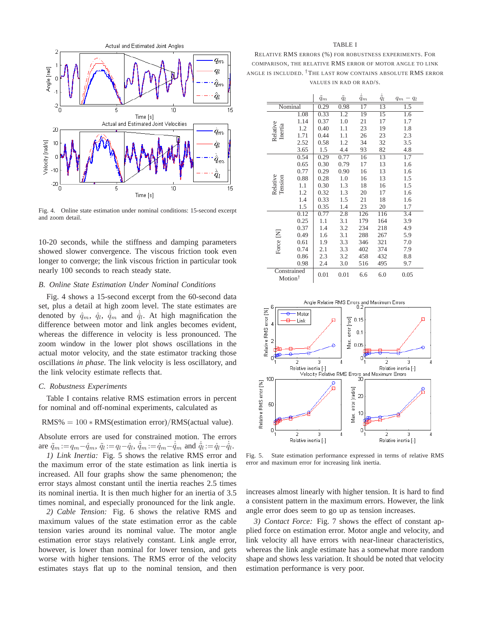

Fig. 4. Online state estimation under nominal conditions: 15-second excerpt and zoom detail.

10-20 seconds, while the stiffness and damping parameters showed slower convergence. The viscous friction took even longer to converge; the link viscous friction in particular took nearly 100 seconds to reach steady state.

## *B. Online State Estimation Under Nominal Conditions*

Fig. 4 shows a 15-second excerpt from the 60-second data set, plus a detail at high zoom level. The state estimates are denoted by  $\hat{q}_m$ ,  $\hat{q}_l$ ,  $\hat{q}_m$  and  $\hat{q}_l$ . At high magnification the difference between motor and link angles becomes evident, whereas the difference in velocity is less pronounced. The zoom window in the lower plot shows oscillations in the actual motor velocity, and the state estimator tracking those oscillations *in phase*. The link velocity is less oscillatory, and the link velocity estimate reflects that.

#### *C. Robustness Experiments*

Table I contains relative RMS estimation errors in percent for nominal and off-nominal experiments, calculated as

## $RMS\% = 100 * RMS(estimation error)/RMS(actual value).$

Absolute errors are used for constrained motion. The errors are  $\tilde{q}_m := q_m - \hat{q}_m$ ,  $\tilde{q}_l := q_l - \hat{q}_l$ ,  $\dot{\tilde{q}}_m := \dot{q}_m - \dot{\tilde{q}}_m$  and  $\dot{\tilde{q}}_l := \dot{q}_l - \dot{\tilde{q}}_l$ .

*1) Link Inertia:* Fig. 5 shows the relative RMS error and the maximum error of the state estimation as link inertia is increased. All four graphs show the same phenomenon; the error stays almost constant until the inertia reaches 2.5 times its nominal inertia. It is then much higher for an inertia of 3.5 times nominal, and especially pronounced for the link angle.

*2) Cable Tension:* Fig. 6 shows the relative RMS and maximum values of the state estimation error as the cable tension varies around its nominal value. The motor angle estimation error stays relatively constant. Link angle error, however, is lower than nominal for lower tension, and gets worse with higher tensions. The RMS error of the velocity estimates stays flat up to the nominal tension, and then

## TABLE I

RELATIVE RMS ERRORS (%) FOR ROBUSTNESS EXPERIMENTS. FOR COMPARISON, THE RELATIVE RMS ERROR OF MOTOR ANGLE TO LINK ANGLE IS INCLUDED. †THE LAST ROW CONTAINS ABSOLUTE RMS ERROR VALUES IN RAD OR RAD/S.

|                                    |      | $\tilde{q}_m$ | $\tilde{q}_l$ | $\dot{\tilde{q}}_m$ | $\dot{\tilde{q}}_l$ | $q_m - q_l$ |
|------------------------------------|------|---------------|---------------|---------------------|---------------------|-------------|
| Nominal                            |      | 0.29          | 0.98          | $\overline{17}$     | 13                  | 1.5         |
| Relative<br>Inertia                | 1.08 | 0.33          | 1.2           | 19                  | 15                  | 1.6         |
|                                    | 1.14 | 0.37          | 1.0           | 21                  | 17                  | 1.7         |
|                                    | 1.2  | 0.40          | 1.1           | 23                  | 19                  | 1.8         |
|                                    | 1.71 | 0.44          | 1.1           | 26                  | 23                  | 2.3         |
|                                    | 2.52 | 0.58          | 1.2           | 34                  | 32                  | 3.5         |
|                                    | 3.65 | 1.5           | 4.4           | 93                  | 82                  | 4.8         |
| Relative<br>Tension                | 0.54 | 0.29          | 0.77          | 16                  | 13                  | 1.7         |
|                                    | 0.65 | 0.30          | 0.79          | 17                  | 13                  | 1.6         |
|                                    | 0.77 | 0.29          | 0.90          | 16                  | 13                  | 1.6         |
|                                    | 0.88 | 0.28          | 1.0           | 16                  | 13                  | 1.5         |
|                                    | 1.1  | 0.30          | 1.3           | 18                  | 16                  | 1.5         |
|                                    | 1.2  | 0.32          | 1.3           | 20                  | 17                  | 1.6         |
|                                    | 1.4  | 0.33          | 1.5           | 21                  | 18                  | 1.6         |
|                                    | 1.5  | 0.35          | 1.4           | 23                  | 20                  | 1.7         |
| Force [N]                          | 0.12 | 0.77          | 2.8           | 126                 | 116                 | 3.4         |
|                                    | 0.25 | 1.1           | 3.1           | 179                 | 164                 | 3.9         |
|                                    | 0.37 | 1.4           | 3.2           | 234                 | 218                 | 4.9         |
|                                    | 0.49 | 1.6           | 3.1           | 288                 | 267                 | 5.9         |
|                                    | 0.61 | 1.9           | 3.3           | 346                 | 321                 | 7.0         |
|                                    | 0.74 | 2.1           | 3.3           | 402                 | 374                 | 7.9         |
|                                    | 0.86 | 2.3           | 3.2           | 458                 | 432                 | 8.8         |
|                                    | 0.98 | 2.4           | 3.0           | 516                 | 495                 | 9.7         |
| Constrained<br>Motion <sup>†</sup> |      | 0.01          | 0.01          | 6.6                 | 6.0                 | 0.05        |



Fig. 5. State estimation performance expressed in terms of relative RMS error and maximum error for increasing link inertia.

increases almost linearly with higher tension. It is hard to find a consistent pattern in the maximum errors. However, the link angle error does seem to go up as tension increases.

*3) Contact Force:* Fig. 7 shows the effect of constant applied force on estimation error. Motor angle and velocity, and link velocity all have errors with near-linear characteristics, whereas the link angle estimate has a somewhat more random shape and shows less variation. It should be noted that velocity estimation performance is very poor.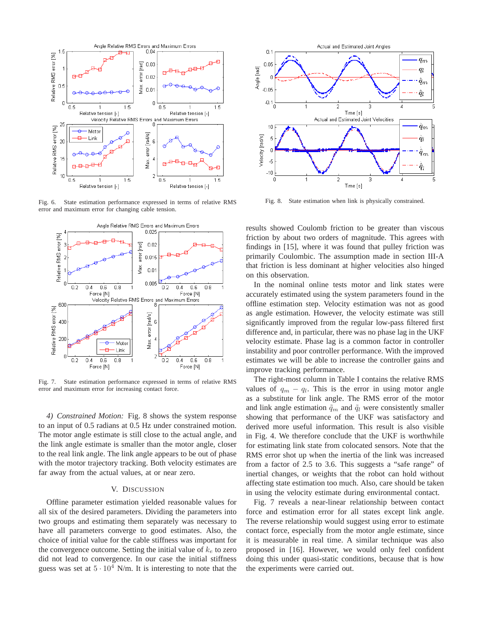

Fig. 6. State estimation performance expressed in terms of relative RMS error and maximum error for changing cable tension.



Fig. 7. State estimation performance expressed in terms of relative RMS error and maximum error for increasing contact force.

*4) Constrained Motion:* Fig. 8 shows the system response to an input of 0.5 radians at 0.5 Hz under constrained motion. The motor angle estimate is still close to the actual angle, and the link angle estimate is smaller than the motor angle, closer to the real link angle. The link angle appears to be out of phase with the motor trajectory tracking. Both velocity estimates are far away from the actual values, at or near zero.

# V. DISCUSSION

Offline parameter estimation yielded reasonable values for all six of the desired parameters. Dividing the parameters into two groups and estimating them separately was necessary to have all parameters converge to good estimates. Also, the choice of initial value for the cable stiffness was important for the convergence outcome. Setting the initial value of  $k_e$  to zero did not lead to convergence. In our case the initial stiffness guess was set at  $5 \cdot 10^4$  N/m. It is interesting to note that the



Fig. 8. State estimation when link is physically constrained.

results showed Coulomb friction to be greater than viscous friction by about two orders of magnitude. This agrees with findings in [15], where it was found that pulley friction was primarily Coulombic. The assumption made in section III-A that friction is less dominant at higher velocities also hinged on this observation.

In the nominal online tests motor and link states were accurately estimated using the system parameters found in the offline estimation step. Velocity estimation was not as good as angle estimation. However, the velocity estimate was still significantly improved from the regular low-pass filtered first difference and, in particular, there was no phase lag in the UKF velocity estimate. Phase lag is a common factor in controller instability and poor controller performance. With the improved estimates we will be able to increase the controller gains and improve tracking performance.

The right-most column in Table I contains the relative RMS values of  $q_m - q_l$ . This is the error in using motor angle as a substitute for link angle. The RMS error of the motor and link angle estimation  $\tilde{q}_m$  and  $\tilde{q}_l$  were consistently smaller showing that performance of the UKF was satisfactory and derived more useful information. This result is also visible in Fig. 4. We therefore conclude that the UKF is worthwhile for estimating link state from colocated sensors. Note that the RMS error shot up when the inertia of the link was increased from a factor of 2.5 to 3.6. This suggests a "safe range" of inertial changes, or weights that the robot can hold without affecting state estimation too much. Also, care should be taken in using the velocity estimate during environmental contact.

Fig. 7 reveals a near-linear relationship between contact force and estimation error for all states except link angle. The reverse relationship would suggest using error to estimate contact force, especially from the motor angle estimate, since it is measurable in real time. A similar technique was also proposed in [16]. However, we would only feel confident doing this under quasi-static conditions, because that is how the experiments were carried out.